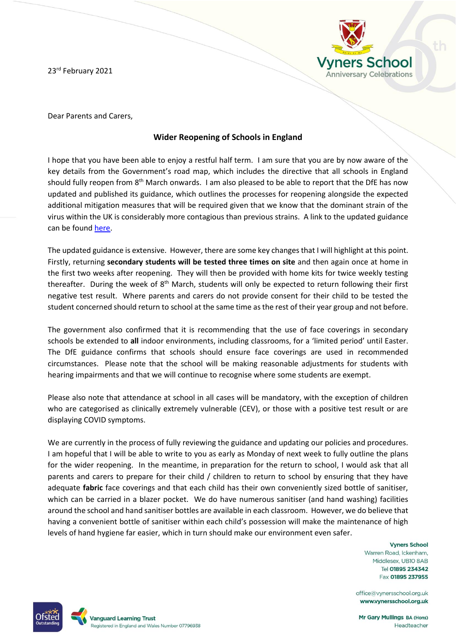23rd February 2021



Dear Parents and Carers,

## **Wider Reopening of Schools in England**

I hope that you have been able to enjoy a restful half term. I am sure that you are by now aware of the key details from the Government's road map, which includes the directive that all schools in England should fully reopen from  $8<sup>th</sup>$  March onwards. I am also pleased to be able to report that the DfE has now updated and published its guidance, which outlines the processes for reopening alongside the expected additional mitigation measures that will be required given that we know that the dominant strain of the virus within the UK is considerably more contagious than previous strains. A link to the updated guidance can be found [here.](https://www.gov.uk/government/collections/guidance-for-schools-coronavirus-covid-19)

The updated guidance is extensive. However, there are some key changes that I will highlight at this point. Firstly, returning **secondary students will be tested three times on site** and then again once at home in the first two weeks after reopening. They will then be provided with home kits for twice weekly testing thereafter. During the week of 8<sup>th</sup> March, students will only be expected to return following their first negative test result. Where parents and carers do not provide consent for their child to be tested the student concerned should return to school at the same time as the rest of their year group and not before.

The government also confirmed that it is recommending that the use of face coverings in secondary schools be extended to **all** indoor environments, including classrooms, for a 'limited period' until Easter. The DfE guidance confirms that schools should ensure face coverings are used in recommended circumstances. Please note that the school will be making reasonable adjustments for students with hearing impairments and that we will continue to recognise where some students are exempt.

Please also note that attendance at school in all cases will be mandatory, with the exception of children who are categorised as clinically extremely vulnerable (CEV), or those with a positive test result or are displaying COVID symptoms.

We are currently in the process of fully reviewing the guidance and updating our policies and procedures. I am hopeful that I will be able to write to you as early as Monday of next week to fully outline the plans for the wider reopening. In the meantime, in preparation for the return to school, I would ask that all parents and carers to prepare for their child / children to return to school by ensuring that they have adequate **fabric** face coverings and that each child has their own conveniently sized bottle of sanitiser, which can be carried in a blazer pocket. We do have numerous sanitiser (and hand washing) facilities around the school and hand sanitiser bottles are available in each classroom. However, we do believe that having a convenient bottle of sanitiser within each child's possession will make the maintenance of high levels of hand hygiene far easier, which in turn should make our environment even safer.

> **Vyners School** Warren Road, Ickenham, Middlesex, UB10 8AB Tel 01895 234342 Fax 01895 237955

office@yynersschool.org.uk www.vynersschool.org.uk

Mr Gary Mullings BA (Hons) Headteacher